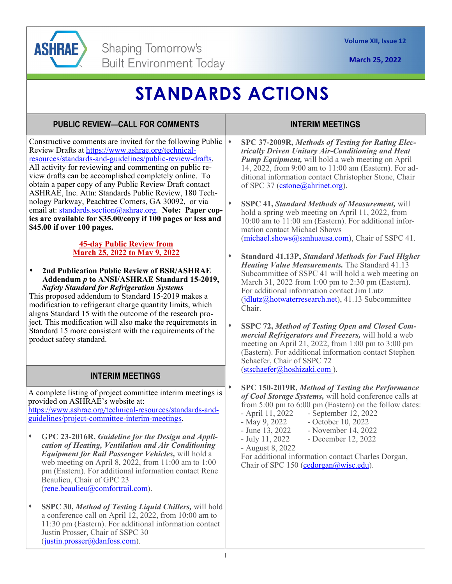

**March 25, 2022** 

# **STANDARDS ACTIONS**

### **PUBLIC REVIEW—CALL FOR COMMENTS**

Constructive comments are invited for the following Public  $\rightarrow$ Review Drafts at https://www.ashrae.org/technicalresources/standards-and-guidelines/public-review-drafts. All activity for reviewing and commenting on public review drafts can be accomplished completely online. To obtain a paper copy of any Public Review Draft contact ASHRAE, Inc. Attn: Standards Public Review, 180 Technology Parkway, Peachtree Corners, GA 30092, or via email at: standards.section@ashrae.org. **Note: Paper copies are available for \$35.00/copy if 100 pages or less and \$45.00 if over 100 pages.** 

#### **45-day Public Review from March 25, 2022 to May 9, 2022**

**2nd Publication Public Review of BSR/ASHRAE Addendum** *p* **to ANSI/ASHRAE Standard 15-2019,**  *Safety Standard for Refrigeration Systems*

This proposed addendum to Standard 15-2019 makes a modification to refrigerant charge quantity limits, which aligns Standard 15 with the outcome of the research project. This modification will also make the requirements in Standard 15 more consistent with the requirements of the product safety standard.

## **INTERIM MEETINGS**

A complete listing of project committee interim meetings is provided on ASHRAE's website at:

https://www.ashrae.org/technical-resources/standards-andguidelines/project-committee-interim-meetings.

- **GPC 23-2016R,** *Guideline for the Design and Application of Heating, Ventilation and Air Conditioning Equipment for Rail Passenger Vehicles,* will hold a web meeting on April 8, 2022, from 11:00 am to 1:00 pm (Eastern). For additional information contact Rene Beaulieu, Chair of GPC 23 (rene.beaulieu@comfortrail.com).
- **SSPC 30,** *Method of Testing Liquid Chillers,* will hold a conference call on April 12, 2022, from 10:00 am to 11:30 pm (Eastern). For additional information contact Justin Prosser, Chair of SSPC 30 (justin.prosser@danfoss.com).

### **INTERIM MEETINGS**

- **SPC 37-2009R,** *Methods of Testing for Rating Electrically Driven Unitary Air-Conditioning and Heat Pump Equipment,* will hold a web meeting on April 14, 2022, from 9:00 am to 11:00 am (Eastern). For additional information contact Christopher Stone, Chair of SPC 37 (cstone@ahrinet.org).
- **SSPC 41,** *Standard Methods of Measurement,* will hold a spring web meeting on April 11, 2022, from 10:00 am to 11:00 am (Eastern). For additional information contact Michael Shows (michael.shows@sanhuausa.com), Chair of SSPC 41.
- **Standard 41.13P,** *Standard Methods for Fuel Higher Heating Value Measurements.* The Standard 41.13 Subcommittee of SSPC 41 will hold a web meeting on March 31, 2022 from 1:00 pm to 2:30 pm (Eastern). For additional information contact Jim Lutz (jdlutz@hotwaterresearch.net), 41.13 Subcommittee Chair.
- **SSPC 72,** *Method of Testing Open and Closed Commercial Refrigerators and Freezers,* will hold a web meeting on April 21, 2022, from 1:00 pm to 3:00 pm (Eastern). For additional information contact Stephen Schaefer, Chair of SSPC 72 (stschaefer@hoshizaki.com ).

**SPC 150-2019R,** *Method of Testing the Performance of Cool Storage Systems,* will hold conference calls at from 5:00 pm to 6:00 pm (Eastern) on the follow dates:<br>- April 11, 2022 - September 12, 2022  $-$  September 12, 2022

- 
- May 9, 2022 October 10, 2022
- June 13, 2022 November 14, 2022<br>- July 11, 2022 December 12, 2022
	- December 12, 2022
- August 8, 2022

For additional information contact Charles Dorgan, Chair of SPC 150 (cedorgan@wisc.edu).